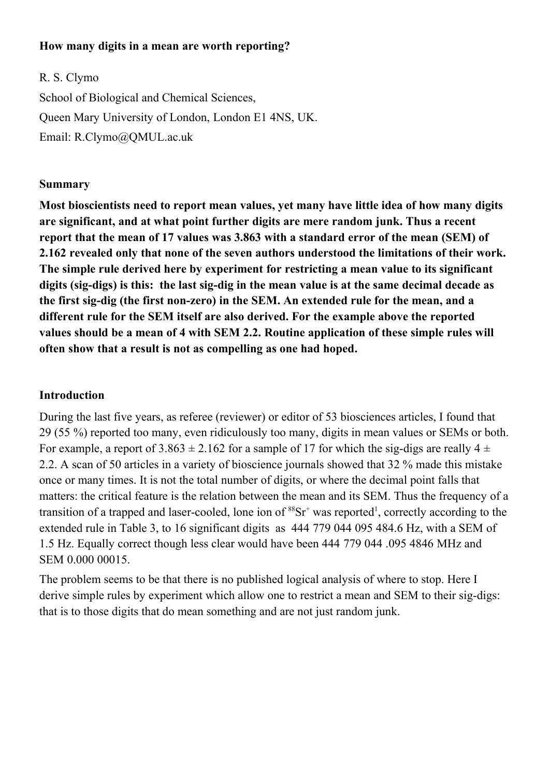### **How many digits in a mean are worth reporting?**

R. S. Clymo School of Biological and Chemical Sciences, Queen Mary University of London, London E1 4NS, UK. Email: R.Clymo@QMUL.ac.uk

### **Summary**

**Most bioscientists need to report mean values, yet many have little idea of how many digits are significant, and at what point further digits are mere random junk. Thus a recent report that the mean of 17 values was 3.863 with a standard error of the mean (SEM) of 2.162 revealed only that none of the seven authors understood the limitations of their work. The simple rule derived here by experiment for restricting a mean value to its significant digits (sig-digs) is this: the last sig-dig in the mean value is at the same decimal decade as the first sig-dig (the first non-zero) in the SEM. An extended rule for the mean, and a different rule for the SEM itself are also derived. For the example above the reported values should be a mean of 4 with SEM 2.2. Routine application of these simple rules will often show that a result is not as compelling as one had hoped.**

# **Introduction**

During the last five years, as referee (reviewer) or editor of 53 biosciences articles, I found that 29 (55 %) reported too many, even ridiculously too many, digits in mean values or SEMs or both. For example, a report of  $3.863 \pm 2.162$  for a sample of 17 for which the sig-digs are really  $4 \pm$ 2.2. A scan of 50 articles in a variety of bioscience journals showed that 32 % made this mistake once or many times. It is not the total number of digits, or where the decimal point falls that matters: the critical feature is the relation between the mean and its SEM. Thus the frequency of a transition of a trapped and laser-cooled, lone ion of  ${}^{88}Sr^+$  was reported<sup>1</sup>, correctly according to the extended rule in Table 3, to 16 significant digits as 444 779 044 095 484.6 Hz, with a SEM of 1.5 Hz. Equally correct though less clear would have been 444 779 044 .095 4846 MHz and SEM 0.000 00015.

The problem seems to be that there is no published logical analysis of where to stop. Here I derive simple rules by experiment which allow one to restrict a mean and SEM to their sig-digs: that is to those digits that do mean something and are not just random junk.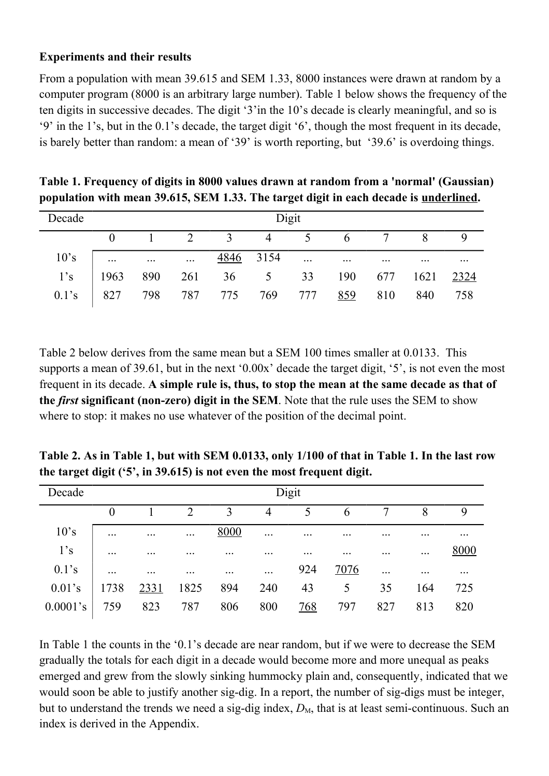### **Experiments and their results**

From a population with mean 39.615 and SEM 1.33, 8000 instances were drawn at random by a computer program (8000 is an arbitrary large number). Table 1 below shows the frequency of the ten digits in successive decades. The digit '3'in the 10's decade is clearly meaningful, and so is '9' in the 1's, but in the 0.1's decade, the target digit '6', though the most frequent in its decade, is barely better than random: a mean of '39' is worth reporting, but '39.6' is overdoing things.

| Decade         | Digit     |                                   |  |                                               |           |  |         |          |                     |                     |  |
|----------------|-----------|-----------------------------------|--|-----------------------------------------------|-----------|--|---------|----------|---------------------|---------------------|--|
|                |           |                                   |  | $1 \t2 \t3 \t4 \t5 \t6 \t7$                   |           |  |         |          | 8                   |                     |  |
| $10^{\circ}$ s | $\ddotsc$ | and the state of the state of the |  |                                               | 4846 3154 |  |         | $\cdots$ | $\cdot \cdot \cdot$ | $\cdot \cdot \cdot$ |  |
| 1's            |           |                                   |  | 1963 890 261 36 5 33 190 677 1621 <u>2324</u> |           |  |         |          |                     |                     |  |
| $0.1$ 's       |           |                                   |  | 827 798 787 775 769 777                       |           |  | 859 810 |          | 840                 | 758                 |  |

**Table 1. Frequency of digits in 8000 values drawn at random from a 'normal' (Gaussian) population with mean 39.615, SEM 1.33. The target digit in each decade is underlined.**

Table 2 below derives from the same mean but a SEM 100 times smaller at 0.0133. This supports a mean of 39.61, but in the next '0.00x' decade the target digit, '5', is not even the most frequent in its decade. **A simple rule is, thus, to stop the mean at the same decade as that of the** *first* **significant (non-zero) digit in the SEM**. Note that the rule uses the SEM to show where to stop: it makes no use whatever of the position of the decimal point.

**Table 2. As in Table 1, but with SEM 0.0133, only 1/100 of that in Table 1. In the last row the target digit ('5', in 39.615) is not even the most frequent digit.**

| Decade    | Digit     |                     |                     |           |          |            |             |           |           |           |  |
|-----------|-----------|---------------------|---------------------|-----------|----------|------------|-------------|-----------|-----------|-----------|--|
|           | $\theta$  |                     | $\overline{2}$      |           | 4        | 5          | 6           |           | 8         | 9         |  |
| 10's      | $\ddots$  | $\ddotsc$           | $\cdots$            | 8000      | $\cdots$ | $\cdots$   | $\cdots$    | $\ddotsc$ |           | $\ddotsc$ |  |
| 1's       | $\ddotsc$ | $\cdot \cdot \cdot$ | $\cdot \cdot \cdot$ |           |          | $\cdots$   |             | .         | $\cdots$  | 8000      |  |
| $0.1$ 's  | $\ddots$  | $\ddotsc$           | $\cdots$            | $\ddotsc$ | $\ddots$ | 924        | <u>7076</u> | $\ddots$  | $\ddotsc$ | $\cdots$  |  |
| $0.01$ 's | 1738      | 2331                | 1825                | 894       | 240      | 43         | 5           | 35        | 164       | 725       |  |
| 0.0001's  | 759       | 823                 | 787                 | 806       | 800      | <u>768</u> | 797         | 827       | 813       | 820       |  |

In Table 1 the counts in the '0.1's decade are near random, but if we were to decrease the SEM gradually the totals for each digit in a decade would become more and more unequal as peaks emerged and grew from the slowly sinking hummocky plain and, consequently, indicated that we would soon be able to justify another sig-dig. In a report, the number of sig-digs must be integer, but to understand the trends we need a sig-dig index,  $D_M$ , that is at least semi-continuous. Such an index is derived in the Appendix.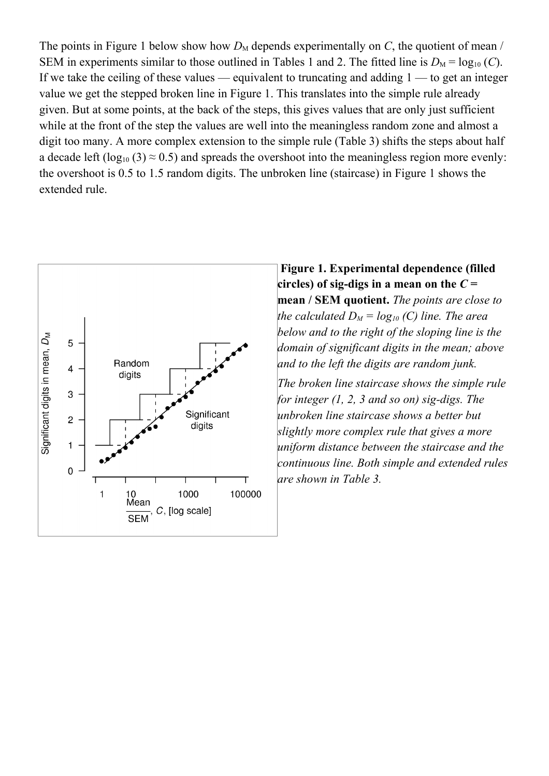The points in Figure 1 below show how  $D_M$  depends experimentally on *C*, the quotient of mean / SEM in experiments similar to those outlined in Tables 1 and 2. The fitted line is  $D_M = log_{10}(C)$ . If we take the ceiling of these values — equivalent to truncating and adding  $1 -$  to get an integer value we get the stepped broken line in Figure 1. This translates into the simple rule already given. But at some points, at the back of the steps, this gives values that are only just sufficient while at the front of the step the values are well into the meaningless random zone and almost a digit too many. A more complex extension to the simple rule (Table 3) shifts the steps about half a decade left (log<sub>10</sub> (3)  $\approx$  0.5) and spreads the overshoot into the meaningless region more evenly: the overshoot is 0.5 to 1.5 random digits. The unbroken line (staircase) in Figure 1 shows the extended rule.



**Figure 1. Experimental dependence (filled circles)** of **sig-digs** in a mean on the  $C =$ **mean / SEM quotient.** *The points are close to the calculated*  $D_M = log_{10}$  *(C) line. The area below and to the right of the sloping line is the domain of significant digits in the mean; above and to the left the digits are random junk.*

*The broken line staircase shows the simple rule for integer (1, 2, 3 and so on) sig-digs. The unbroken line staircase shows a better but slightly more complex rule that gives a more uniform distance between the staircase and the continuous line. Both simple and extended rules are shown in Table 3.*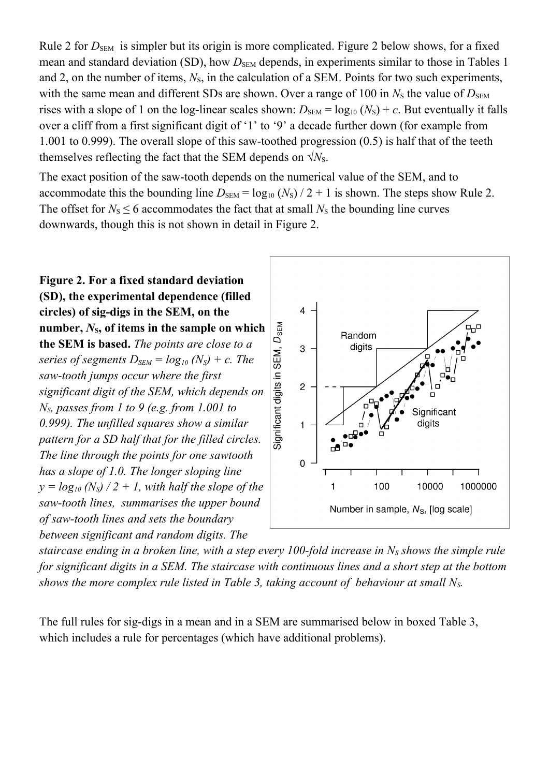Rule 2 for  $D_{SEM}$  is simpler but its origin is more complicated. Figure 2 below shows, for a fixed mean and standard deviation (SD), how  $D_{SEM}$  depends, in experiments similar to those in Tables 1 and 2, on the number of items,  $N<sub>S</sub>$ , in the calculation of a SEM. Points for two such experiments, with the same mean and different SDs are shown. Over a range of 100 in  $N<sub>S</sub>$  the value of  $D<sub>SEM</sub>$ rises with a slope of 1 on the log-linear scales shown:  $D_{SEM} = log_{10} (N_S) + c$ . But eventually it falls over a cliff from a first significant digit of '1' to '9' a decade further down (for example from 1.001 to 0.999). The overall slope of this saw-toothed progression (0.5) is half that of the teeth themselves reflecting the fact that the SEM depends on  $\sqrt{N_s}$ .

The exact position of the saw-tooth depends on the numerical value of the SEM, and to accommodate this the bounding line  $D_{SEM} = \log_{10} (N_S)/2 + 1$  is shown. The steps show Rule 2. The offset for  $N_s \le 6$  accommodates the fact that at small  $N_s$  the bounding line curves downwards, though this is not shown in detail in Figure 2.

**Figure 2. For a fixed standard deviation (SD), the experimental dependence (filled circles) of sig-digs in the SEM, on the** Significant digits in SEM, D<sub>SEM</sub> **number,**  $N_s$ , of items in the sample on which **the SEM is based.** *The points are close to a series of segments*  $D_{SEM} = log_{10} (N_S) + c$ . The *saw-tooth jumps occur where the first significant digit of the SEM, which depends on NS, passes from 1 to 9 (e.g. from 1.001 to 0.999). The unfilled squares show a similar pattern for a SD half that for the filled circles. The line through the points for one sawtooth has a slope of 1.0. The longer sloping line*  $y = log_{10} (N_s)/2 + 1$ , with *half* the *slope* of the *saw-tooth lines, summarises the upper bound of saw-tooth lines and sets the boundary between significant and random digits. The*



*staircase ending in a broken line, with a step every 100-fold increase in N<sup>S</sup> shows the simple rule for significant digits in a SEM. The staircase with continuous lines and a short step at the bottom shows the more complex rule listed in Table 3, taking account of behaviour at small NS.*

The full rules for sig-digs in a mean and in a SEM are summarised below in boxed Table 3, which includes a rule for percentages (which have additional problems).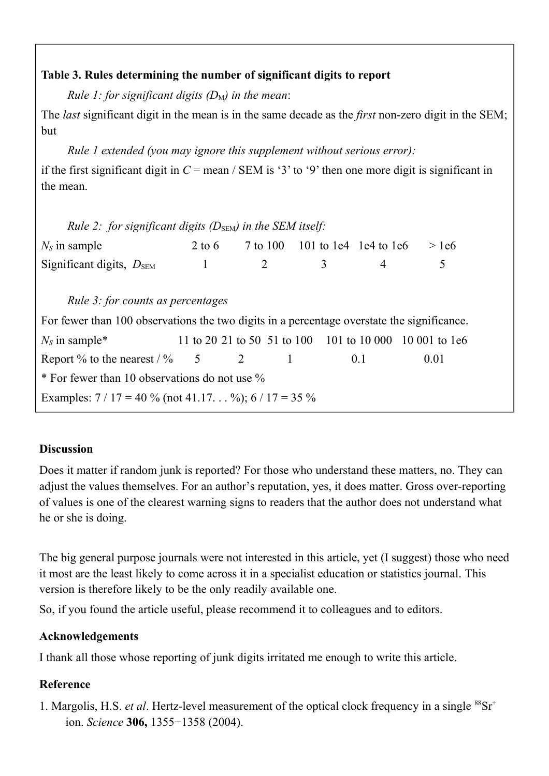# **Table 3. Rules determining the number of significant digits to report**

*Rule 1: for significant digits*  $(D_M)$  *in the mean:* 

The *last* significant digit in the mean is in the same decade as the *first* non-zero digit in the SEM; but

*Rule 1 extended (you may ignore this supplement without serious error):* 

if the first significant digit in *C* = mean / SEM is '3' to '9' then one more digit is significant in the mean.

|                                               | Rule 2: for significant digits $(D_{SEM})$ in the SEM itself: |                |     |                                                         |                                                                                                                                                |
|-----------------------------------------------|---------------------------------------------------------------|----------------|-----|---------------------------------------------------------|------------------------------------------------------------------------------------------------------------------------------------------------|
|                                               |                                                               |                |     | $>$ 1e6                                                 |                                                                                                                                                |
| $\begin{array}{c} \hline \end{array}$         | $\overline{\phantom{a}}$                                      | $\mathfrak{Z}$ | 4   | 5                                                       |                                                                                                                                                |
|                                               |                                                               |                |     |                                                         |                                                                                                                                                |
|                                               |                                                               |                |     |                                                         |                                                                                                                                                |
|                                               |                                                               |                |     |                                                         |                                                                                                                                                |
|                                               |                                                               |                |     | 11 to 20 21 to 50 51 to 100 101 to 10 000 10 001 to 1e6 |                                                                                                                                                |
|                                               | Report % to the nearest $/$ % 5 2 1                           |                | 0.1 | 0.01                                                    |                                                                                                                                                |
| * For fewer than 10 observations do not use % |                                                               |                |     |                                                         |                                                                                                                                                |
|                                               | <i>Rule 3: for counts as percentages</i>                      |                |     |                                                         | $2 \text{ to } 6$ 7 to 100 101 to 1e4 1e4 to 1e6<br>For fewer than 100 observations the two digits in a percentage overstate the significance. |

# **Discussion**

Does it matter if random junk is reported? For those who understand these matters, no. They can adjust the values themselves. For an author's reputation, yes, it does matter. Gross over-reporting of values is one of the clearest warning signs to readers that the author does not understand what he or she is doing.

The big general purpose journals were not interested in this article, yet (I suggest) those who need it most are the least likely to come across it in a specialist education or statistics journal. This version is therefore likely to be the only readily available one.

So, if you found the article useful, please recommend it to colleagues and to editors.

# **Acknowledgements**

I thank all those whose reporting of junk digits irritated me enough to write this article.

# **Reference**

1. Margolis, H.S. *et al.* Hertz-level measurement of the optical clock frequency in a single <sup>88</sup>Sr<sup>+</sup> ion. *Science* **306,** 1355−1358 (2004).